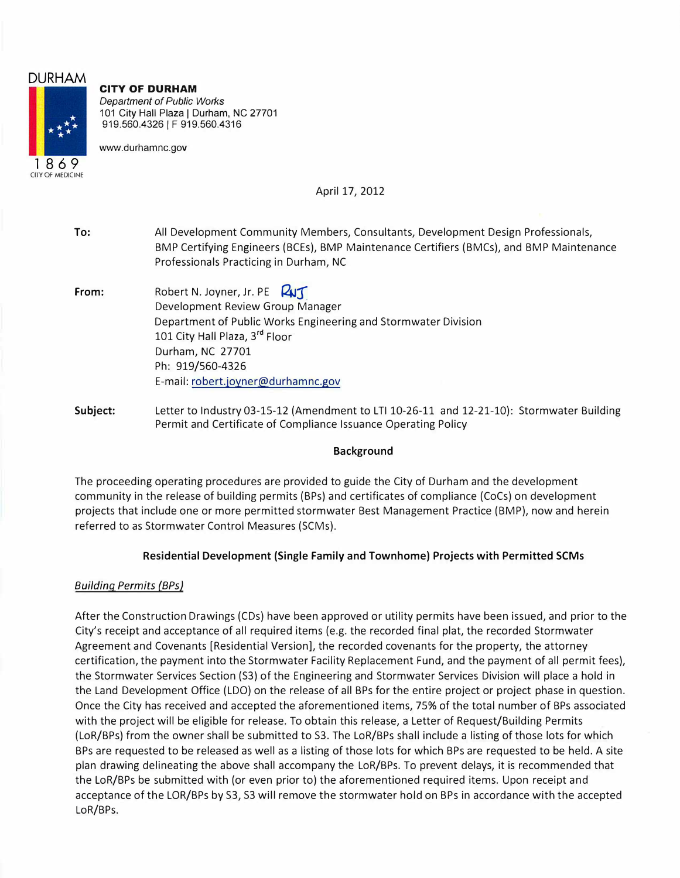# **DURHAM**  1 8 6 9 CllY OF MEDICINE

# **CITY OF DURHAM**

*Department of Public Works*  101 City Hall Plaza | Durham, NC 27701 919.560.4326 | F 919.560.4316

<www.durhamnc.gov>

April 17, 2012

**To:** All Development Community Members, Consultants, Development Design Professionals, BMP Certifying Engineers (BCEs), BMP Maintenance Certifiers (BMCs), and BMP Maintenance Professionals Practicing in Durham, NC **From:** Robert N. Joyner, Jr. PE **QUT** Development Review Group Manager Department of Public Works Engineering and Stormwater Division 101 City Hall Plaza, 3<sup>rd</sup> Floor Durham, NC 27701 Ph: 919/560-4326 E-mail: [robert.joyner@durhamnc.gov](mailto:robert.joyner@durhamnc.gov) **Subject:** Letter to Industry 03-15-12 (Amendment to LTI 10-26-11 and 12-21-10): Stormwater Building Permit and Certificate of Compliance Issuance Operating Policy

# **Background**

The proceeding operating procedures are provided to guide the City of Durham and the development community in the release of building permits (BPs) and certificates of compliance (CoCs) on development projects that include one or more permitted stormwater Best Management Practice (BMP), now and herein referred to as Stormwater Control Measures (SCMs).

# **Residential Development (Single Family and Townhome) Projects with Permitted SCMs**

# *Building Permits (BPs)*

After the Construction Drawings (CDs) have been approved or utility permits have been issued, and prior to the City's receipt and acceptance of all required items (e.g. the recorded final plat, the recorded Stormwater Agreement and Covenants [Residential Version], the recorded covenants for the property, the attorney certification, the payment into the Stormwater Facility Replacement Fund, and the payment of all permit fees), the Stormwater Services Section (S3) of the Engineering and Stormwater Services Division will place a hold in the Land Development Office (LDO) on the release of all BPs for the entire project or project phase in question. Once the City has received and accepted the aforementioned items, 75% of the total number of BPs associated with the project will be eligible for release. To obtain this release, a Letter of Request/Building Permits (LoR/BPs) from the owner shall be submitted to S3. The LoR/BPs shall include a listing of those lots for which BPs are requested to be released as well as a listing of those lots for which BPs are requested to be held. A site plan drawing delineating the above shall accompany the LoR/BPs. To prevent delays, it is recommended that the LoR/BPs be submitted with (or even prior to) the aforementioned required items. Upon receipt and acceptance of the LOR/BPs by S3, 53 will remove the stormwater hold on BPs in accordance with the accepted LoR/BPs.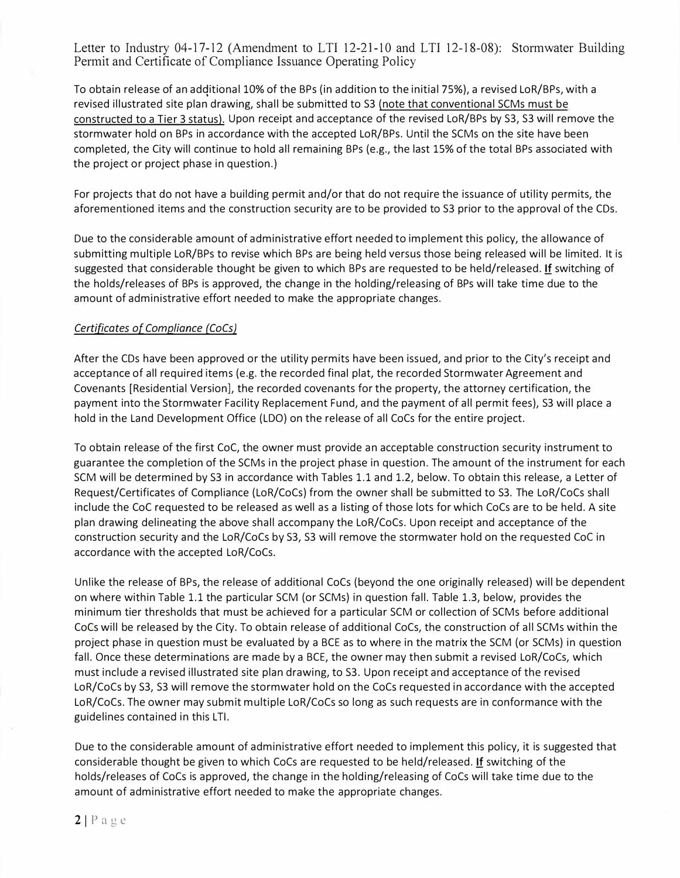To obtain release of an additional 10% of the BPs (in addition to the initial 75%), a revised LoR/BPs, with a revised illustrated site plan drawing, shall be submitted to 53 (note that conventional 5CMs must be constructed to a Tier 3 status). Upon receipt and acceptance of the revised LoR/BPs by 53, 53 will remove the stormwater hold on BPs in accordance with the accepted LoR/BPs. Until the 5CMs on the site have been completed, the City will continue to hold all remaining BPs (e.g., the last 15% of the total BPs associated with the project or project phase in question.)

For projects that do not have a building permit and/or that do not require the issuance of utility permits, the aforementioned items and the construction security are to be provided to 53 prior to the approval of the CDs.

Due to the considerable amount of administrative effort needed to implement this policy, the allowance of submitting multiple LoR/BPs to revise which BPs are being held versus those being released will be limited. It is suggested that considerable thought be given to which BPs are requested to be held/released. If switching of the holds/releases of BPs is approved, the change in the holding/releasing of BPs will take time due to the amount of administrative effort needed to make the appropriate changes.

### *Certificates of Compliance {CoCs)*

After the CDs have been approved or the utility permits have been issued, and prior to the City's receipt and acceptance of all required items (e.g. the recorded final plat, the recorded 5tormwater Agreement and Covenants [Residential Version], the recorded covenants for the property, the attorney certification, the payment into the 5tormwater Facility Replacement Fund, and the payment of all permit fees), 53 will place a hold in the Land Development Office (LOO) on the release of all CoCs for the entire project.

To obtain release of the first CoC, the owner must provide an acceptable construction security instrument to guarantee the completion of the 5CMs in the project phase in question. The amount of the instrument for each 5CM will be determined by 53 in accordance with Tables 1.1 and 1.2, below. To obtain this release, a Letter of Request/Certificates of Compliance (LoR/CoCs) from the owner shall be submitted to 53. The LoR/CoCs shall include the CoC requested to be released as well as a listing of those lots for which CoCs are to be held. A site plan drawing delineating the above shall accompany the LoR/CoCs. Upon receipt and acceptance of the construction security and the LoR/CoCs by S3, S3 will remove the stormwater hold on the requested CoC in accordance with the accepted LoR/CoCs.

Unlike the release of BPs, the release of additional CoCs (beyond the one originally released) will be dependent on where within Table 1.1 the particular 5CM (or 5CMs) in question fall. Table 1.3, below, provides the minimum tier thresholds that must be achieved for a particular 5CM or collection of 5CMs before additional CoCs will be released by the City. To obtain release of additional CoCs, the construction of all 5CMs within the project phase in question must be evaluated by a BCE as to where in the matrix the 5CM (or 5CMs) in question fall. Once these determinations are made by a BCE, the owner may then submit a revised LoR/CoCs, which must include a revised illustrated site plan drawing, to 53. Upon receipt and acceptance of the revised LoR/CoCs by 53, 53 will remove the stormwater hold on the CoCs requested in accordance with the accepted LoR/CoCs. The owner may submit multiple LoR/CoCs so long as such requests are in conformance with the guidelines contained in this LTI.

Due to the considerable amount of administrative effort needed to implement this policy, it is suggested that considerable thought be given to which CoCs are requested to be held/released. If switching of the holds/releases of CoCs is approved, the change in the holding/releasing of CoCs will take time due to the amount of administrative effort needed to make the appropriate changes.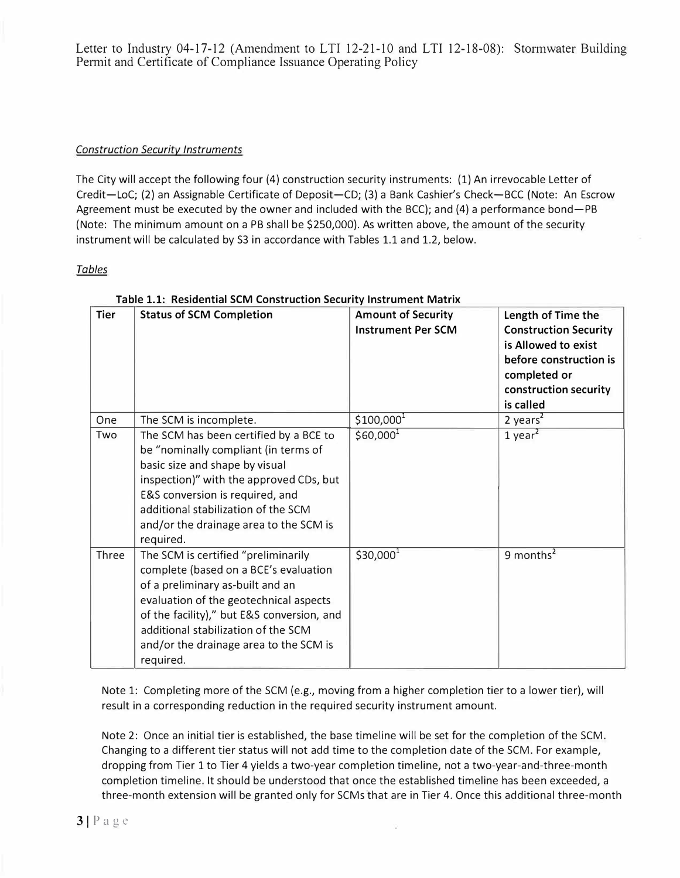## *Construction Security Instruments*

The City will accept the following four (4) construction security instruments: (1) An irrevocable Letter of Credit-LoC; (2) an Assignable Certificate of Deposit-CD; (3) a Bank Cashier's Check-BCC (Note: An Escrow Agreement must be executed by the owner and included with the BCC); and (4) a performance bond-PB (Note: The minimum amount on a PB shall be \$250,000). As written above, the amount of the security instrument will be calculated by S3 in accordance with Tables 1.1 and 1.2, below.

### *Tables*

| Tier  | Length of Time the                         |                                                        |                              |
|-------|--------------------------------------------|--------------------------------------------------------|------------------------------|
|       | <b>Status of SCM Completion</b>            | <b>Amount of Security</b><br><b>Instrument Per SCM</b> |                              |
|       |                                            |                                                        | <b>Construction Security</b> |
|       |                                            |                                                        | is Allowed to exist          |
|       |                                            |                                                        | before construction is       |
|       |                                            |                                                        | completed or                 |
|       |                                            |                                                        | construction security        |
|       |                                            |                                                        | is called                    |
| One   | The SCM is incomplete.                     | $$100,000^1$                                           | $2$ years <sup>2</sup>       |
| Two   | The SCM has been certified by a BCE to     | \$60,000 <sup>1</sup>                                  | $1$ year <sup>2</sup>        |
|       | be "nominally compliant (in terms of       |                                                        |                              |
|       | basic size and shape by visual             |                                                        |                              |
|       | inspection)" with the approved CDs, but    |                                                        |                              |
|       | E&S conversion is required, and            |                                                        |                              |
|       | additional stabilization of the SCM        |                                                        |                              |
|       | and/or the drainage area to the SCM is     |                                                        |                              |
|       | required.                                  |                                                        |                              |
| Three | The SCM is certified "preliminarily        | $$30,000^1$                                            | 9 months <sup>2</sup>        |
|       | complete (based on a BCE's evaluation      |                                                        |                              |
|       | of a preliminary as-built and an           |                                                        |                              |
|       | evaluation of the geotechnical aspects     |                                                        |                              |
|       | of the facility)," but E&S conversion, and |                                                        |                              |
|       | additional stabilization of the SCM        |                                                        |                              |
|       | and/or the drainage area to the SCM is     |                                                        |                              |
|       | required.                                  |                                                        |                              |

## **Table 1.1: Residential SCM Construction Security Instrument Matrix**

Note 1: Completing more of the SCM (e.g., moving from a higher completion tier to a lower tier), will result in a corresponding reduction in the required security instrument amount.

Note 2: Once an initial tier is established, the base timeline will be set for the completion of the SCM. Changing to a different tier status will not add time to the completion date of the SCM. For example, dropping from Tier 1 to Tier 4 yields a two-year completion timeline, not a two-year-and-three-month completion timeline. It should be understood that once the established timeline has been exceeded, a three-month extension will be granted only for SCMs that are in Tier 4. Once this additional three-month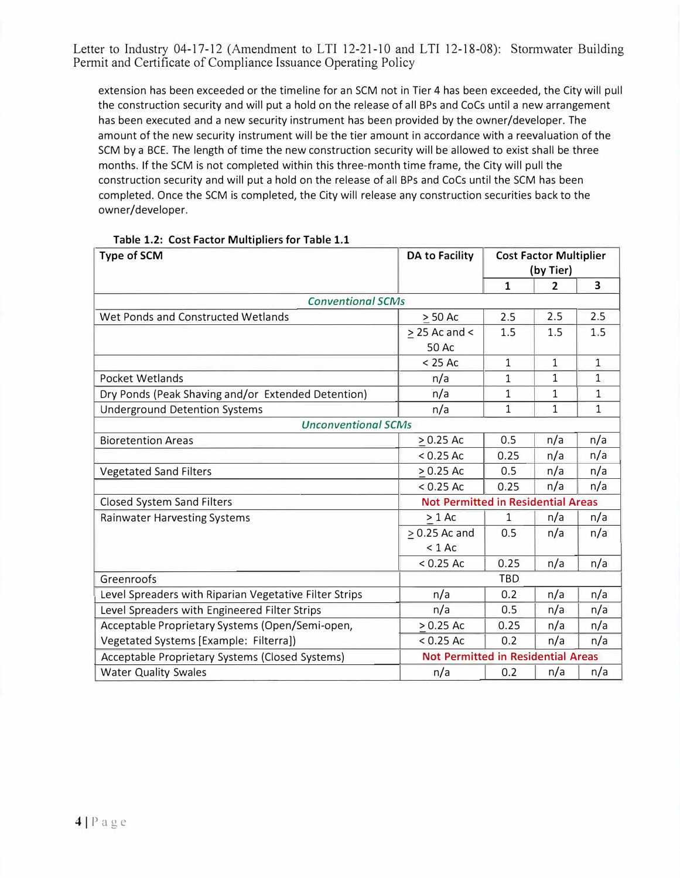extension has been exceeded or the timeline for an SCM not in Tier 4 has been exceeded, the City will pull the construction security and will put a hold on the release of all BPs and CoCs until a new arrangement has been executed and a new security instrument has been provided by the owner/developer. The amount of the new security instrument will be the tier amount in accordance with a reevaluation of the SCM by a BCE. The length of time the new construction security will be allowed to exist shall be three months. If the SCM is not completed within this three-month time frame, the City will pull the construction security and will put a hold on the release of all BPs and CoCs until the SCM has been completed. Once the SCM is completed, the City will release any construction securities back to the owner/developer.

| <b>Type of SCM</b>                                     | <b>DA to Facility</b> | <b>Cost Factor Multiplier</b><br>(by Tier) |                |                         |
|--------------------------------------------------------|-----------------------|--------------------------------------------|----------------|-------------------------|
|                                                        |                       | $\mathbf{1}$                               | $\overline{2}$ | $\overline{\mathbf{3}}$ |
| <b>Conventional SCMs</b>                               |                       |                                            |                |                         |
| Wet Ponds and Constructed Wetlands                     | $> 50$ Ac             | 2.5                                        | 2.5            | 2.5                     |
|                                                        | $\geq$ 25 Ac and <    | 1.5                                        | 1.5            | 1.5                     |
|                                                        | 50 Ac                 |                                            |                |                         |
|                                                        | $< 25$ Ac             | $\mathbf{1}$                               | $\mathbf{1}$   | $\mathbf{1}$            |
| Pocket Wetlands                                        | n/a                   | 1                                          | $\mathbf{1}$   | 1                       |
| Dry Ponds (Peak Shaving and/or Extended Detention)     | n/a                   | 1                                          | $\mathbf{1}$   | $\mathbf{1}$            |
| <b>Underground Detention Systems</b>                   | n/a                   | $\mathbf{1}$                               | $\mathbf{1}$   | $\mathbf{1}$            |
| <b>Unconventional SCMs</b>                             |                       |                                            |                |                         |
| <b>Bioretention Areas</b>                              | $> 0.25$ Ac           | 0.5                                        | n/a            | n/a                     |
|                                                        | $< 0.25$ Ac           | 0.25                                       | n/a            | n/a                     |
| <b>Vegetated Sand Filters</b>                          | $> 0.25$ Ac           | 0.5                                        | n/a            | n/a                     |
|                                                        | $< 0.25$ Ac           | 0.25                                       | n/a            | n/a                     |
| Closed System Sand Filters                             |                       | <b>Not Permitted in Residential Areas</b>  |                |                         |
| <b>Rainwater Harvesting Systems</b>                    | $> 1$ Ac              | 1                                          | n/a            | n/a                     |
|                                                        | $> 0.25$ Ac and       | 0.5                                        | n/a            | n/a                     |
|                                                        | $< 1$ Ac              |                                            |                |                         |
|                                                        | $< 0.25$ Ac           | 0.25                                       | n/a            | n/a                     |
| Greenroofs                                             |                       | TBD                                        |                |                         |
| Level Spreaders with Riparian Vegetative Filter Strips | n/a                   | 0.2                                        | n/a            | n/a                     |
| Level Spreaders with Engineered Filter Strips          | n/a                   | 0.5                                        | n/a            | n/a                     |
| Acceptable Proprietary Systems (Open/Semi-open,        | $> 0.25$ Ac           | 0.25                                       | n/a            | n/a                     |
| Vegetated Systems [Example: Filterra])                 | $< 0.25$ Ac           | 0.2                                        | n/a            | n/a                     |
| Acceptable Proprietary Systems (Closed Systems)        |                       | <b>Not Permitted in Residential Areas</b>  |                |                         |
| <b>Water Quality Swales</b>                            | n/a                   | 0.2                                        | n/a            | n/a                     |

#### **Table 1.2: Cost Factor Multipliers for Table 1.1**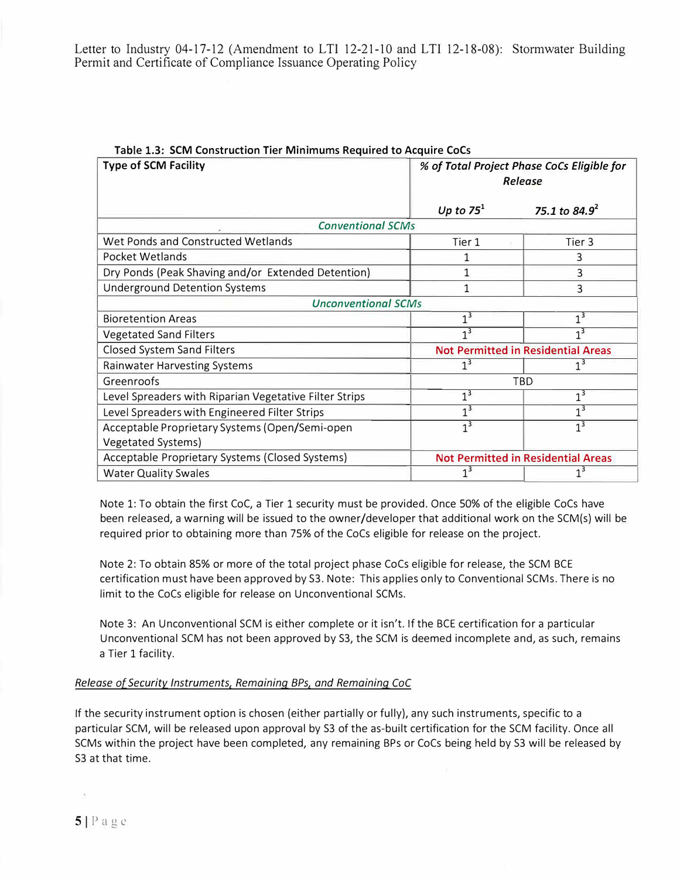| <b>Type of SCM Facility</b>                            | They could construct the millimities the day to reduct<br>% of Total Project Phase CoCs Eligible for<br>Release |                  |
|--------------------------------------------------------|-----------------------------------------------------------------------------------------------------------------|------------------|
|                                                        | Up to $75^1$                                                                                                    | 75.1 to $84.9^2$ |
| <b>Conventional SCMs</b>                               |                                                                                                                 |                  |
| Wet Ponds and Constructed Wetlands                     | Tier 1                                                                                                          | Tier 3           |
| Pocket Wetlands                                        |                                                                                                                 | 3                |
| Dry Ponds (Peak Shaving and/or Extended Detention)     | 3                                                                                                               |                  |
| <b>Underground Detention Systems</b>                   | 1                                                                                                               | 3                |
| <b>Unconventional SCMs</b>                             |                                                                                                                 |                  |
| <b>Bioretention Areas</b>                              | $1^3$                                                                                                           | 1 <sup>3</sup>   |
| <b>Vegetated Sand Filters</b>                          | $\overline{1^3}$                                                                                                | 1 <sup>3</sup>   |
| <b>Closed System Sand Filters</b>                      | <b>Not Permitted in Residential Areas</b>                                                                       |                  |
| <b>Rainwater Harvesting Systems</b>                    | 1 <sup>3</sup><br>1 <sup>3</sup>                                                                                |                  |
| Greenroofs                                             | TBD                                                                                                             |                  |
| Level Spreaders with Riparian Vegetative Filter Strips | 1 <sup>3</sup>                                                                                                  | 1 <sup>3</sup>   |
| Level Spreaders with Engineered Filter Strips          | $1^3$                                                                                                           | 1 <sup>3</sup>   |
| Acceptable Proprietary Systems (Open/Semi-open         | $1^3$                                                                                                           | 1 <sup>3</sup>   |
| <b>Vegetated Systems)</b>                              |                                                                                                                 |                  |
| Acceptable Proprietary Systems (Closed Systems)        | <b>Not Permitted in Residential Areas</b>                                                                       |                  |
| <b>Water Quality Swales</b>                            | $1^3$<br>1 <sup>3</sup>                                                                                         |                  |

**Table 1.3: SCM Construction Tier Minimums Required to Acquire CoCs** 

Note 1: To obtain the first CoC, a Tier 1 security must be provided. Once 50% of the eligible CoCs have been released, a warning will be issued to the owner/developer that additional work on the SCM(s) will be required prior to obtaining more than 75% of the CoCs eligible for release on the project.

Note 2: To obtain 85% or more of the total project phase CoCs eligible for release, the SCM BCE certification must have been approved by 53. Note: This applies only to Conventional SCMs. There is no limit to the CoCs eligible for release on Unconventional SCMs.

Note 3: An Unconventional SCM is either complete or it isn't. If the BCE certification for a particular Unconventional SCM has not been approved by 53, the SCM is deemed incomplete and, as such, remains a Tier 1 facility.

# *Release of Security Instruments, Remaining BPs, and Remaining CoC*

If the security instrument option is chosen (either partially or fully), any such instruments, specific to a particular SCM, will be released upon approval by 53 of the as-built certification for the SCM facility. Once all SCMs within the project have been completed, any remaining BPs or CoCs being held by 53 will be released by 53 at that time.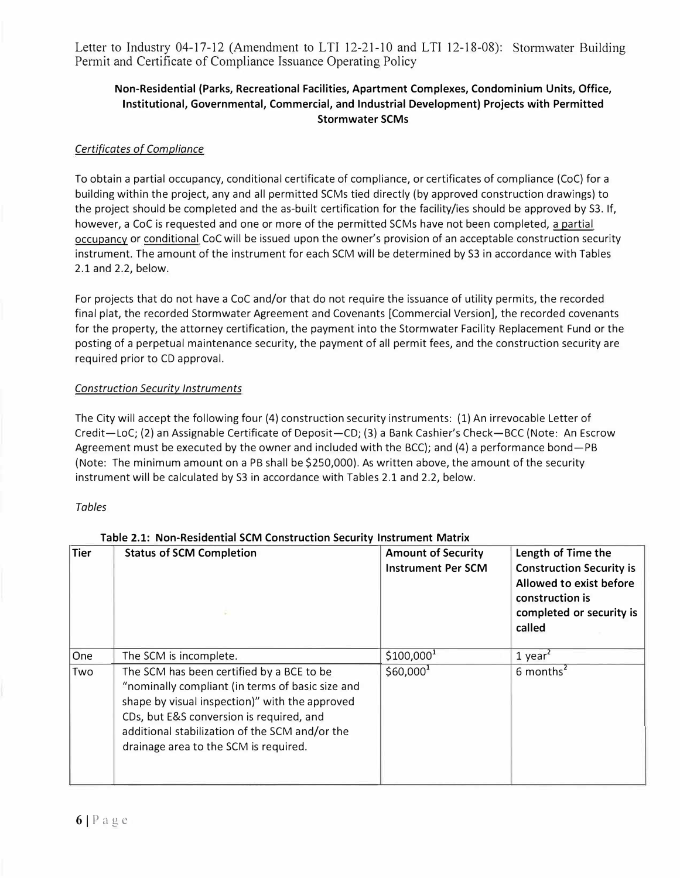# **Non-Residential (Parks, Recreational Facilities, Apartment Complexes, Condominium Units, Office, Institutional, Governmental, Commercial, and Industrial Development) Projects with Permitted Stormwater SCMs**

## *Certificates of Compliance*

To obtain a partial occupancy, conditional certificate of compliance, or certificates of compliance (CoC) for a building within the project, any and all permitted SCMs tied directly (by approved construction drawings) to the project should be completed and the as-built certification for the facility/ies should be approved by S3. If, however, a CoC is requested and one or more of the permitted 5CMs have not been completed, a partial occupancy or conditional CoC will be issued upon the owner's provision of an acceptable construction security instrument. The amount of the instrument for each SCM will be determined by 53 in accordance with Tables 2.1 and 2.2, below.

For projects that do not have a CoC and/or that do not require the issuance of utility permits, the recorded final plat, the recorded 5tormwater Agreement and Covenants [Commercial Version], the recorded covenants for the property, the attorney certification, the payment into the 5tormwater Facility Replacement Fund or the posting of a perpetual maintenance security, the payment of all permit fees, and the construction security are required prior to CD approval.

### *Construction Security Instruments*

The City will accept the following four (4) construction security instruments: (1) An irrevocable Letter of Credit-LoC; (2) an Assignable Certificate of Deposit-CD; (3) a Bank Cashier's Check-BCC (Note: An Escrow Agreement must be executed by the owner and included with the BCC); and (4) a performance bond-PB (Note: The minimum amount on a PB shall be \$250,000). As written above, the amount of the security instrument will be calculated by 53 in accordance with Tables 2.1 and 2.2, below.

### *Tables*

| <b>Tier</b> | <b>Status of SCM Completion</b>                                                                                                                                                                                                                                                        | <b>Amount of Security</b><br><b>Instrument Per SCM</b> | Length of Time the<br><b>Construction Security is</b><br>Allowed to exist before<br>construction is<br>completed or security is<br>called |
|-------------|----------------------------------------------------------------------------------------------------------------------------------------------------------------------------------------------------------------------------------------------------------------------------------------|--------------------------------------------------------|-------------------------------------------------------------------------------------------------------------------------------------------|
| One         | The SCM is incomplete.                                                                                                                                                                                                                                                                 | $$100,000^1$                                           | $1$ year <sup>2</sup>                                                                                                                     |
| Two         | The SCM has been certified by a BCE to be<br>"nominally compliant (in terms of basic size and<br>shape by visual inspection)" with the approved<br>CDs, but E&S conversion is required, and<br>additional stabilization of the SCM and/or the<br>drainage area to the SCM is required. | $$60,000^1$                                            | $6$ months <sup>2</sup>                                                                                                                   |

### **Table 2.1: Non-Residential SCM Construction Security Instrument Matrix**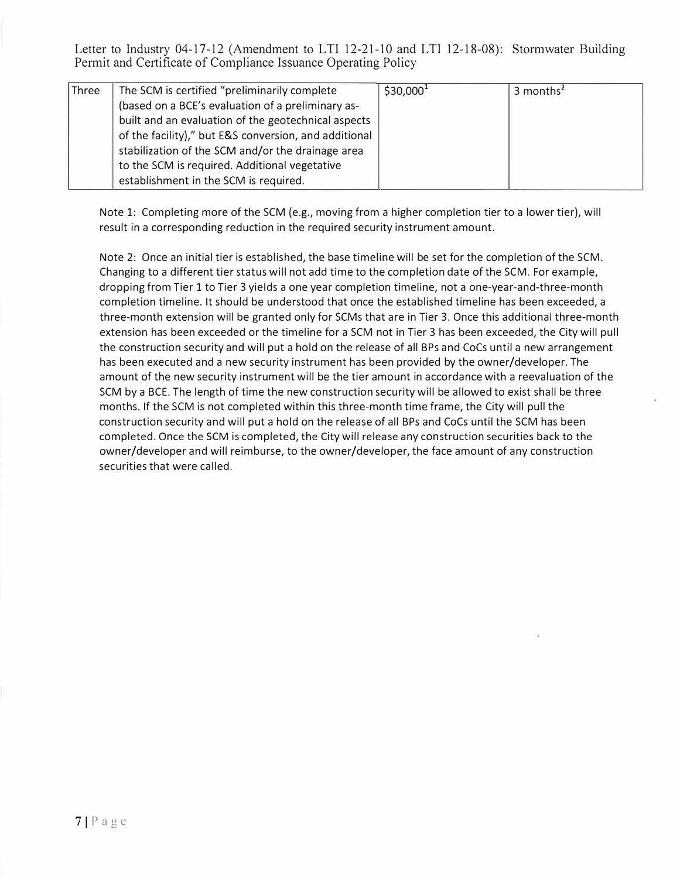| Three | The SCM is certified "preliminarily complete          | $$30,000^1$ | 3 months <sup>2</sup> |
|-------|-------------------------------------------------------|-------------|-----------------------|
|       | (based on a BCE's evaluation of a preliminary as-     |             |                       |
|       | built and an evaluation of the geotechnical aspects   |             |                       |
|       | of the facility)," but E&S conversion, and additional |             |                       |
|       | stabilization of the SCM and/or the drainage area     |             |                       |
|       | to the SCM is required. Additional vegetative         |             |                       |
|       | establishment in the SCM is required.                 |             |                       |

Note 1: Completing more of the SCM (e.g., moving from a higher completion tier to a lower tier), will result in a corresponding reduction in the required security instrument amount.

Note 2: Once an initial tier is established, the base timeline will be set for the completion of the SCM. Changing to a different tier status will not add time to the completion date of the SCM. For example, dropping from Tier 1 to Tier 3 yields a one year completion timeline, not a one-year-and-three-month completion timeline. It should be understood that once the established timeline has been exceeded, a three-month extension will be granted only for SCMs that are in Tier 3. Once this additional three-month extension has been exceeded or the timeline for a SCM not in Tier 3 has been exceeded, the City will pull the construction security and will put a hold on the release of all BPs and CoCs until a new arrangement has been executed and a new security instrument has been provided by the owner/developer. The amount of the new security instrument will be the tier amount in accordance with a reevaluation of the SCM by a BCE. The length of time the new construction security will be allowed to exist shall be three months. If the SCM is not completed within this three-month time frame, the City will pull the construction security and will put a hold on the release of all BPs and CoCs until the SCM has been completed. Once the SCM is completed, the City will release any construction securities back to the owner/developer and will reimburse, to the owner/developer, the face amount of any construction securities that were called.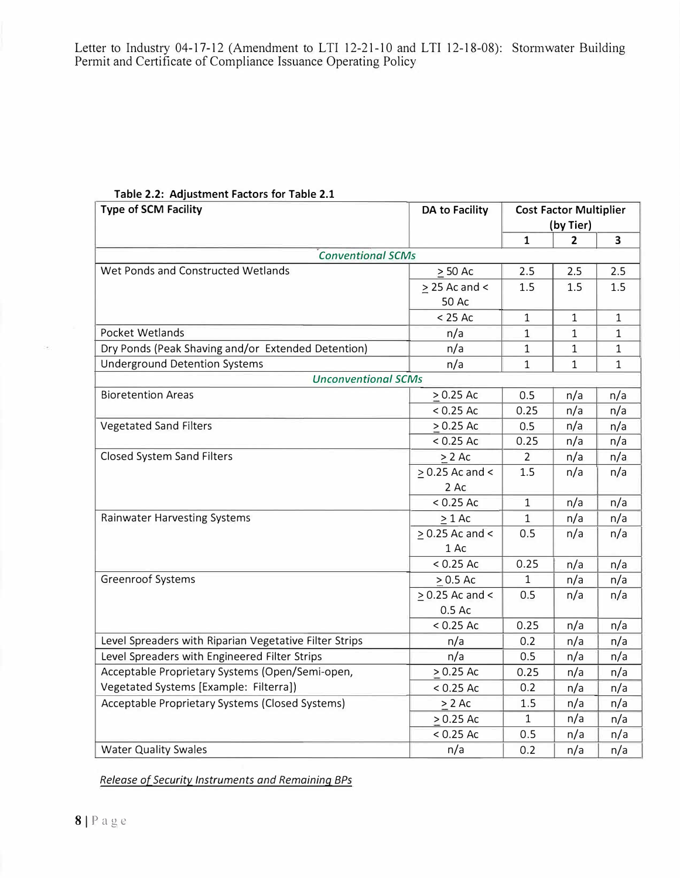|  | Table 2.2: Adjustment Factors for Table 2.1 |  |  |
|--|---------------------------------------------|--|--|
|--|---------------------------------------------|--|--|

| <b>Type of SCM Facility</b>                            | <b>DA to Facility</b> | <b>Cost Factor Multiplier</b> |              |              |
|--------------------------------------------------------|-----------------------|-------------------------------|--------------|--------------|
|                                                        |                       |                               | (by Tier)    |              |
|                                                        |                       | $\mathbf{1}$                  | 2            | 3            |
| <b>Conventional SCMs</b>                               |                       |                               |              |              |
| Wet Ponds and Constructed Wetlands                     | $\geq$ 50 Ac          | 2.5                           | 2.5          | 2.5          |
|                                                        | $>$ 25 Ac and $<$     | 1.5                           | 1.5          | 1.5          |
|                                                        | 50 Ac                 |                               |              |              |
|                                                        | $< 25$ Ac             | $\mathbf{1}$                  | $\mathbf{1}$ | $\mathbf{1}$ |
| Pocket Wetlands                                        | n/a                   | $\mathbf{1}$                  | 1            | 1            |
| Dry Ponds (Peak Shaving and/or Extended Detention)     | n/a                   | 1                             | 1            | 1            |
| <b>Underground Detention Systems</b>                   | n/a                   | $\mathbf{1}$                  | $\mathbf 1$  | $\mathbf{1}$ |
| <b>Unconventional SCMs</b>                             |                       |                               |              |              |
| <b>Bioretention Areas</b>                              | $>0.25$ Ac            | 0.5                           | n/a          | n/a          |
|                                                        | $< 0.25$ Ac           | 0.25                          | n/a          | n/a          |
| <b>Vegetated Sand Filters</b>                          | $>0.25$ Ac            | 0.5                           | n/a          | n/a          |
|                                                        | $< 0.25$ Ac           | 0.25                          | n/a          | n/a          |
| Closed System Sand Filters                             | $> 2$ Ac              | 2                             | n/a          | n/a          |
|                                                        | $> 0.25$ Ac and <     | 1.5                           | n/a          | n/a          |
|                                                        | 2 Ac                  |                               |              |              |
|                                                        | $< 0.25$ Ac           | $\mathbf{1}$                  | n/a          | n/a          |
| Rainwater Harvesting Systems                           | $\geq 1$ Ac           | $\mathbf{1}$                  | n/a          | n/a          |
|                                                        | $> 0.25$ Ac and <     | 0.5                           | n/a          | n/a          |
|                                                        | 1 Ac                  |                               |              |              |
|                                                        | $< 0.25$ Ac           | 0.25                          | n/a          | n/a          |
| <b>Greenroof Systems</b>                               | $> 0.5$ Ac            | $\mathbf{1}$                  | n/a          | n/a          |
|                                                        | $> 0.25$ Ac and <     | 0.5                           | n/a          | n/a          |
|                                                        | 0.5 Ac                |                               |              |              |
|                                                        | $< 0.25$ Ac           | 0.25                          | n/a          | n/a          |
| Level Spreaders with Riparian Vegetative Filter Strips | n/a                   | 0.2                           | n/a          | n/a          |
| Level Spreaders with Engineered Filter Strips          | n/a                   | 0.5                           | n/a          | n/a          |
| Acceptable Proprietary Systems (Open/Semi-open,        | $> 0.25$ Ac           | 0.25                          | n/a          | n/a          |
| Vegetated Systems [Example: Filterra])                 | $< 0.25$ Ac           | 0.2                           | n/a          | n/a          |
| Acceptable Proprietary Systems (Closed Systems)        | $> 2$ Ac              | 1.5                           | n/a          | n/a          |
|                                                        | $> 0.25$ Ac           | $\mathbf{1}$                  | n/a          | n/a          |
|                                                        | $< 0.25$ Ac           | 0.5                           | n/a          | n/a          |
| <b>Water Quality Swales</b>                            | n/a                   | 0.2                           | n/a          | n/a          |

*Release of Security Instruments and Remaining BPs*